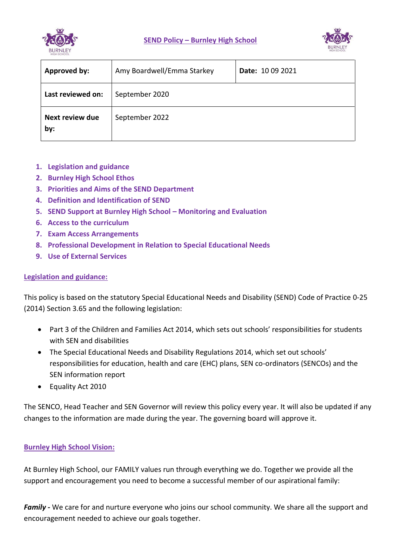

**SEND Policy – Burnley High School** 



| Approved by:                  | Amy Boardwell/Emma Starkey | Date: 10 09 2021 |
|-------------------------------|----------------------------|------------------|
| Last reviewed on:             | September 2020             |                  |
| <b>Next review due</b><br>by: | September 2022             |                  |

- **1. Legislation and guidance**
- **2. Burnley High School Ethos**
- **3. Priorities and Aims of the SEND Department**
- **4. Definition and Identification of SEND**
- **5. SEND Support at Burnley High School – Monitoring and Evaluation**
- **6. Access to the curriculum**
- **7. Exam Access Arrangements**
- **8. Professional Development in Relation to Special Educational Needs**
- **9. Use of External Services**

## **Legislation and guidance:**

This policy is based on the statutory Special Educational Needs and Disability (SEND) Code of Practice 0-25 (2014) Section 3.65 and the following legislation:

- Part 3 of the Children and Families Act 2014, which sets out schools' responsibilities for students with SEN and disabilities
- The Special Educational Needs and Disability Regulations 2014, which set out schools' responsibilities for education, health and care (EHC) plans, SEN co-ordinators (SENCOs) and the SEN information report
- Equality Act 2010

The SENCO, Head Teacher and SEN Governor will review this policy every year. It will also be updated if any changes to the information are made during the year. The governing board will approve it.

## **Burnley High School Vision:**

At Burnley High School, our FAMILY values run through everything we do. Together we provide all the support and encouragement you need to become a successful member of our aspirational family:

*Family -* We care for and nurture everyone who joins our school community. We share all the support and encouragement needed to achieve our goals together.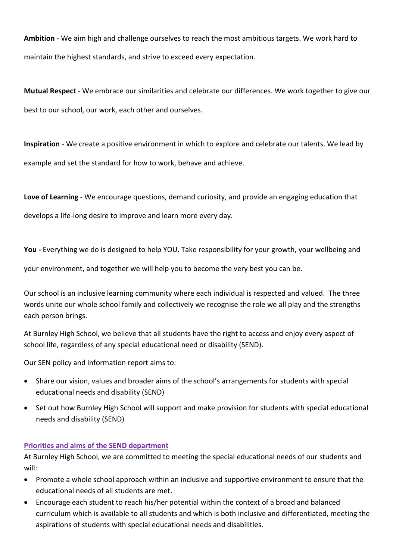**Ambition** - We aim high and challenge ourselves to reach the most ambitious targets. We work hard to maintain the highest standards, and strive to exceed every expectation.

**Mutual Respect** - We embrace our similarities and celebrate our differences. We work together to give our best to our school, our work, each other and ourselves.

**Inspiration** - We create a positive environment in which to explore and celebrate our talents. We lead by example and set the standard for how to work, behave and achieve.

**Love of Learning** - We encourage questions, demand curiosity, and provide an engaging education that

develops a life-long desire to improve and learn more every day.

**You -** Everything we do is designed to help YOU. Take responsibility for your growth, your wellbeing and

your environment, and together we will help you to become the very best you can be.

Our school is an inclusive learning community where each individual is respected and valued. The three words unite our whole school family and collectively we recognise the role we all play and the strengths each person brings.

At Burnley High School, we believe that all students have the right to access and enjoy every aspect of school life, regardless of any special educational need or disability (SEND).

Our SEN policy and information report aims to:

- Share our vision, values and broader aims of the school's arrangements for students with special educational needs and disability (SEND)
- Set out how Burnley High School will support and make provision for students with special educational needs and disability (SEND)

## **Priorities and aims of the SEND department**

At Burnley High School, we are committed to meeting the special educational needs of our students and will:

- Promote a whole school approach within an inclusive and supportive environment to ensure that the educational needs of all students are met.
- Encourage each student to reach his/her potential within the context of a broad and balanced curriculum which is available to all students and which is both inclusive and differentiated, meeting the aspirations of students with special educational needs and disabilities.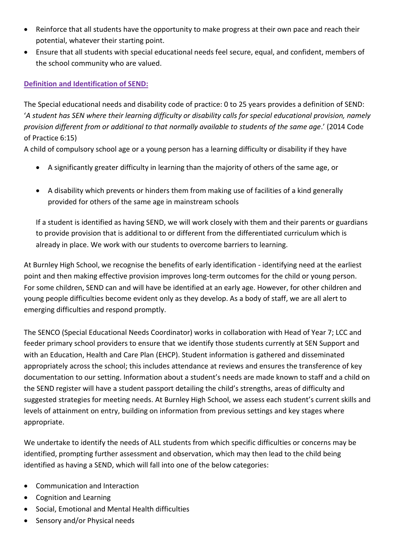- Reinforce that all students have the opportunity to make progress at their own pace and reach their potential, whatever their starting point.
- Ensure that all students with special educational needs feel secure, equal, and confident, members of the school community who are valued.

# **Definition and Identification of SEND:**

The Special educational needs and disability code of practice: 0 to 25 years provides a definition of SEND: '*A student has SEN where their learning difficulty or disability calls for special educational provision, namely provision different from or additional to that normally available to students of the same age*.' (2014 Code of Practice 6:15)

A child of compulsory school age or a young person has a learning difficulty or disability if they have

- A significantly greater difficulty in learning than the majority of others of the same age, or
- A disability which prevents or hinders them from making use of facilities of a kind generally provided for others of the same age in mainstream schools

If a student is identified as having SEND, we will work closely with them and their parents or guardians to provide provision that is additional to or different from the differentiated curriculum which is already in place. We work with our students to overcome barriers to learning.

At Burnley High School, we recognise the benefits of early identification - identifying need at the earliest point and then making effective provision improves long-term outcomes for the child or young person. For some children, SEND can and will have be identified at an early age. However, for other children and young people difficulties become evident only as they develop. As a body of staff, we are all alert to emerging difficulties and respond promptly.

The SENCO (Special Educational Needs Coordinator) works in collaboration with Head of Year 7; LCC and feeder primary school providers to ensure that we identify those students currently at SEN Support and with an Education, Health and Care Plan (EHCP). Student information is gathered and disseminated appropriately across the school; this includes attendance at reviews and ensures the transference of key documentation to our setting. Information about a student's needs are made known to staff and a child on the SEND register will have a student passport detailing the child's strengths, areas of difficulty and suggested strategies for meeting needs. At Burnley High School, we assess each student's current skills and levels of attainment on entry, building on information from previous settings and key stages where appropriate.

We undertake to identify the needs of ALL students from which specific difficulties or concerns may be identified, prompting further assessment and observation, which may then lead to the child being identified as having a SEND, which will fall into one of the below categories:

- Communication and Interaction
- Cognition and Learning
- Social, Emotional and Mental Health difficulties
- Sensory and/or Physical needs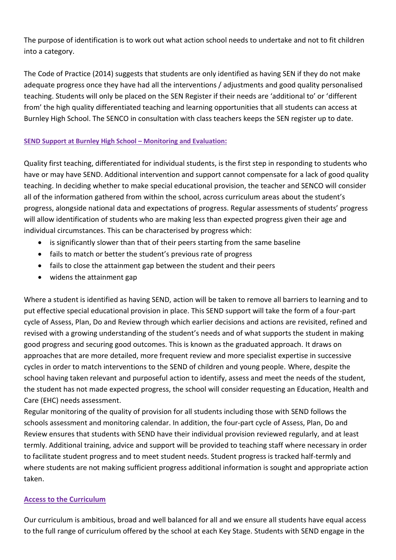The purpose of identification is to work out what action school needs to undertake and not to fit children into a category.

The Code of Practice (2014) suggests that students are only identified as having SEN if they do not make adequate progress once they have had all the interventions / adjustments and good quality personalised teaching. Students will only be placed on the SEN Register if their needs are 'additional to' or 'different from' the high quality differentiated teaching and learning opportunities that all students can access at Burnley High School. The SENCO in consultation with class teachers keeps the SEN register up to date.

## **SEND Support at Burnley High School – Monitoring and Evaluation:**

Quality first teaching, differentiated for individual students, is the first step in responding to students who have or may have SEND. Additional intervention and support cannot compensate for a lack of good quality teaching. In deciding whether to make special educational provision, the teacher and SENCO will consider all of the information gathered from within the school, across curriculum areas about the student's progress, alongside national data and expectations of progress. Regular assessments of students' progress will allow identification of students who are making less than expected progress given their age and individual circumstances. This can be characterised by progress which:

- is significantly slower than that of their peers starting from the same baseline
- fails to match or better the student's previous rate of progress
- fails to close the attainment gap between the student and their peers
- widens the attainment gap

Where a student is identified as having SEND, action will be taken to remove all barriers to learning and to put effective special educational provision in place. This SEND support will take the form of a four-part cycle of Assess, Plan, Do and Review through which earlier decisions and actions are revisited, refined and revised with a growing understanding of the student's needs and of what supports the student in making good progress and securing good outcomes. This is known as the graduated approach. It draws on approaches that are more detailed, more frequent review and more specialist expertise in successive cycles in order to match interventions to the SEND of children and young people. Where, despite the school having taken relevant and purposeful action to identify, assess and meet the needs of the student, the student has not made expected progress, the school will consider requesting an Education, Health and Care (EHC) needs assessment.

Regular monitoring of the quality of provision for all students including those with SEND follows the schools assessment and monitoring calendar. In addition, the four-part cycle of Assess, Plan, Do and Review ensures that students with SEND have their individual provision reviewed regularly, and at least termly. Additional training, advice and support will be provided to teaching staff where necessary in order to facilitate student progress and to meet student needs. Student progress is tracked half-termly and where students are not making sufficient progress additional information is sought and appropriate action taken.

## **Access to the Curriculum**

Our curriculum is ambitious, broad and well balanced for all and we ensure all students have equal access to the full range of curriculum offered by the school at each Key Stage. Students with SEND engage in the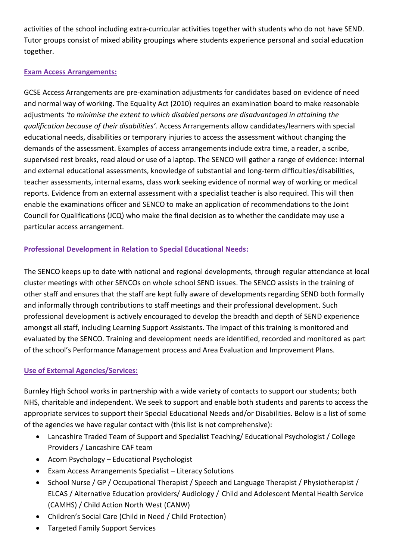activities of the school including extra-curricular activities together with students who do not have SEND. Tutor groups consist of mixed ability groupings where students experience personal and social education together.

# **Exam Access Arrangements:**

GCSE Access Arrangements are pre-examination adjustments for candidates based on evidence of need and normal way of working. The Equality Act (2010) requires an examination board to make reasonable adjustments *'to minimise the extent to which disabled persons are disadvantaged in attaining the qualification because of their disabilities'.* Access Arrangements allow candidates/learners with special educational needs, disabilities or temporary injuries to access the assessment without changing the demands of the assessment. Examples of access arrangements include extra time, a reader, a scribe, supervised rest breaks, read aloud or use of a laptop. The SENCO will gather a range of evidence: internal and external educational assessments, knowledge of substantial and long-term difficulties/disabilities, teacher assessments, internal exams, class work seeking evidence of normal way of working or medical reports. Evidence from an external assessment with a specialist teacher is also required. This will then enable the examinations officer and SENCO to make an application of recommendations to the Joint Council for Qualifications (JCQ) who make the final decision as to whether the candidate may use a particular access arrangement.

# **Professional Development in Relation to Special Educational Needs:**

The SENCO keeps up to date with national and regional developments, through regular attendance at local cluster meetings with other SENCOs on whole school SEND issues. The SENCO assists in the training of other staff and ensures that the staff are kept fully aware of developments regarding SEND both formally and informally through contributions to staff meetings and their professional development. Such professional development is actively encouraged to develop the breadth and depth of SEND experience amongst all staff, including Learning Support Assistants. The impact of this training is monitored and evaluated by the SENCO. Training and development needs are identified, recorded and monitored as part of the school's Performance Management process and Area Evaluation and Improvement Plans.

# **Use of External Agencies/Services:**

Burnley High School works in partnership with a wide variety of contacts to support our students; both NHS, charitable and independent. We seek to support and enable both students and parents to access the appropriate services to support their Special Educational Needs and/or Disabilities. Below is a list of some of the agencies we have regular contact with (this list is not comprehensive):

- Lancashire Traded Team of Support and Specialist Teaching/ Educational Psychologist / College Providers / Lancashire CAF team
- Acorn Psychology Educational Psychologist
- Exam Access Arrangements Specialist Literacy Solutions
- School Nurse / GP / Occupational Therapist / Speech and Language Therapist / Physiotherapist / ELCAS / Alternative Education providers/ Audiology / Child and Adolescent Mental Health Service (CAMHS) / Child Action North West (CANW)
- Children's Social Care (Child in Need / Child Protection)
- Targeted Family Support Services